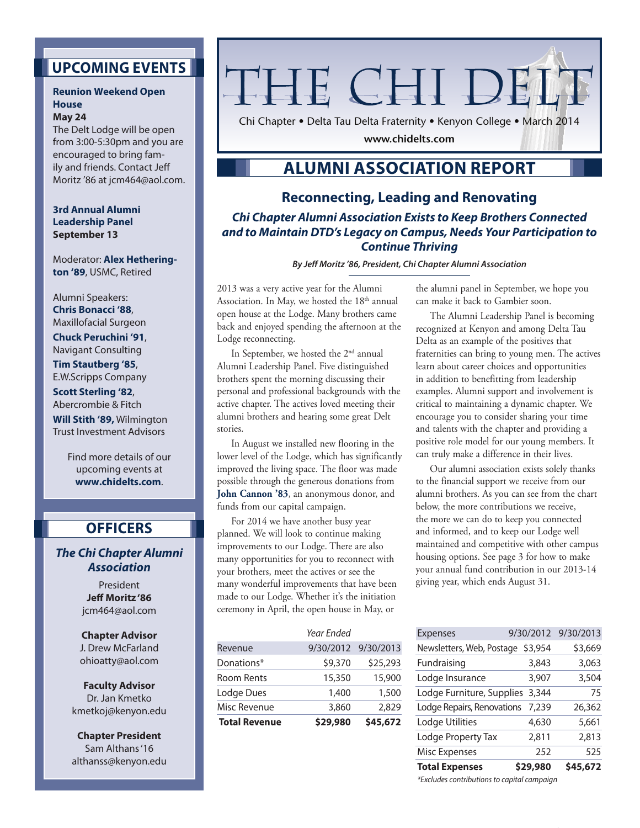## **Upcoming Events**

#### **Reunion Weekend Open House May 24**

The Delt Lodge will be open from 3:00-5:30pm and you are encouraged to bring family and friends. Contact Jeff Moritz '86 at jcm464@aol.com.

**3rd Annual Alumni Leadership Panel September 13**

Moderator: **Alex Hetherington '89**, USMC, Retired

Alumni Speakers: **Chris Bonacci '88**, Maxillofacial Surgeon **Chuck Peruchini '91**, Navigant Consulting **Tim Stautberg '85**, E.W.Scripps Company **Scott Sterling '82**, Abercrombie & Fitch **Will Stith '89,** Wilmington Trust Investment Advisors

> Find more details of our upcoming events at **www.chidelts.com**.

## **Officers**

*The Chi Chapter Alumni Association*

> President **Jeff Moritz '86**  jcm464@aol.com

**Chapter Advisor**  J. Drew McFarland ohioatty@aol.com

**Faculty Advisor** Dr. Jan Kmetko kmetkoj@kenyon.edu

**Chapter President** Sam Althans '16 althanss@kenyon.edu

# THE CHI DEL'

Chi Chapter • Delta Tau Delta Fraternity • Kenyon College • March 2014

**www.chidelts.com**

# **Alumni Association Report**

## **Reconnecting, Leading and Renovating**

*Chi Chapter Alumni Association Exists to Keep Brothers Connected and to Maintain DTD's Legacy on Campus, Needs Your Participation to Continue Thriving*

*By Jeff Moritz '86, President, Chi Chapter Alumni Association*

2013 was a very active year for the Alumni Association. In May, we hosted the  $18<sup>th</sup>$  annual open house at the Lodge. Many brothers came back and enjoyed spending the afternoon at the Lodge reconnecting.

In September, we hosted the 2nd annual Alumni Leadership Panel. Five distinguished brothers spent the morning discussing their personal and professional backgrounds with the active chapter. The actives loved meeting their alumni brothers and hearing some great Delt stories.

In August we installed new flooring in the lower level of the Lodge, which has significantly improved the living space. The floor was made possible through the generous donations from **John Cannon '83**, an anonymous donor, and funds from our capital campaign.

For 2014 we have another busy year planned. We will look to continue making improvements to our Lodge. There are also many opportunities for you to reconnect with your brothers, meet the actives or see the many wonderful improvements that have been made to our Lodge. Whether it's the initiation ceremony in April, the open house in May, or

| <b>Total Revenue</b> | \$29,980   | \$45,672            |
|----------------------|------------|---------------------|
| Misc Revenue         | 3,860      | 2,829               |
| Lodge Dues           | 1,400      | 1,500               |
| Room Rents           | 15,350     | 15,900              |
| Donations*           | \$9,370    | \$25,293            |
| Revenue              |            | 9/30/2012 9/30/2013 |
|                      | Year Ended |                     |

the alumni panel in September, we hope you can make it back to Gambier soon.

The Alumni Leadership Panel is becoming recognized at Kenyon and among Delta Tau Delta as an example of the positives that fraternities can bring to young men. The actives learn about career choices and opportunities in addition to benefitting from leadership examples. Alumni support and involvement is critical to maintaining a dynamic chapter. We encourage you to consider sharing your time and talents with the chapter and providing a positive role model for our young members. It can truly make a difference in their lives.

Our alumni association exists solely thanks to the financial support we receive from our alumni brothers. As you can see from the chart below, the more contributions we receive, the more we can do to keep you connected and informed, and to keep our Lodge well maintained and competitive with other campus housing options. See page 3 for how to make your annual fund contribution in our 2013-14 giving year, which ends August 31.

| <b>Total Expenses</b>             | \$29,980 | \$45,672            |
|-----------------------------------|----------|---------------------|
| <b>Misc Expenses</b>              | 252      | 525                 |
| Lodge Property Tax                | 2,811    | 2,813               |
| Lodge Utilities                   | 4,630    | 5,661               |
| Lodge Repairs, Renovations 7,239  |          | 26,362              |
| Lodge Furniture, Supplies 3,344   |          | 75                  |
| Lodge Insurance                   | 3,907    | 3,504               |
| Fundraising                       | 3,843    | 3,063               |
| Newsletters, Web, Postage \$3,954 |          | \$3,669             |
| <b>Expenses</b>                   |          | 9/30/2012 9/30/2013 |
|                                   |          |                     |

*\*Excludes contributions to capital campaign*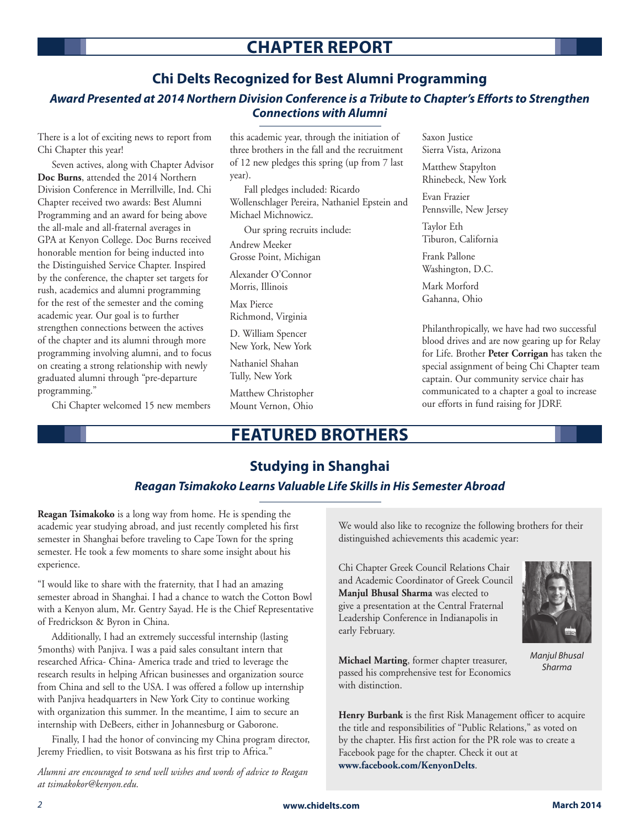# **Chapter Report**

## **Chi Delts Recognized for Best Alumni Programming**

## *Award Presented at 2014 Northern Division Conference is a Tribute to Chapter's Efforts to Strengthen Connections with Alumni*

There is a lot of exciting news to report from Chi Chapter this year!

Seven actives, along with Chapter Advisor **Doc Burns**, attended the 2014 Northern Division Conference in Merrillville, Ind. Chi Chapter received two awards: Best Alumni Programming and an award for being above the all-male and all-fraternal averages in GPA at Kenyon College. Doc Burns received honorable mention for being inducted into the Distinguished Service Chapter. Inspired by the conference, the chapter set targets for rush, academics and alumni programming for the rest of the semester and the coming academic year. Our goal is to further strengthen connections between the actives of the chapter and its alumni through more programming involving alumni, and to focus on creating a strong relationship with newly graduated alumni through "pre-departure programming."

Chi Chapter welcomed 15 new members

this academic year, through the initiation of three brothers in the fall and the recruitment of 12 new pledges this spring (up from 7 last year).

Fall pledges included: Ricardo Wollenschlager Pereira, Nathaniel Epstein and Michael Michnowicz.

Our spring recruits include:

Andrew Meeker Grosse Point, Michigan

Alexander O'Connor Morris, Illinois

Max Pierce Richmond, Virginia

D. William Spencer New York, New York

Nathaniel Shahan Tully, New York

Matthew Christopher Mount Vernon, Ohio Saxon Justice Sierra Vista, Arizona

Matthew Stapylton Rhinebeck, New York

Evan Frazier Pennsville, New Jersey

Taylor Eth Tiburon, California

Frank Pallone Washington, D.C.

Mark Morford Gahanna, Ohio

Philanthropically, we have had two successful blood drives and are now gearing up for Relay for Life. Brother **Peter Corrigan** has taken the special assignment of being Chi Chapter team captain. Our community service chair has communicated to a chapter a goal to increase our efforts in fund raising for JDRF.

# **Featured Brothers**

# **Studying in Shanghai**

#### *Reagan Tsimakoko Learns Valuable Life Skills in His Semester Abroad*

**Reagan Tsimakoko** is a long way from home. He is spending the academic year studying abroad, and just recently completed his first semester in Shanghai before traveling to Cape Town for the spring semester. He took a few moments to share some insight about his experience.

"I would like to share with the fraternity, that I had an amazing semester abroad in Shanghai. I had a chance to watch the Cotton Bowl with a Kenyon alum, Mr. Gentry Sayad. He is the Chief Representative of Fredrickson & Byron in China.

Additionally, I had an extremely successful internship (lasting 5months) with Panjiva. I was a paid sales consultant intern that researched Africa- China- America trade and tried to leverage the research results in helping African businesses and organization source from China and sell to the USA. I was offered a follow up internship with Panjiva headquarters in New York City to continue working with organization this summer. In the meantime, I aim to secure an internship with DeBeers, either in Johannesburg or Gaborone.

Finally, I had the honor of convincing my China program director, Jeremy Friedlien, to visit Botswana as his first trip to Africa."

*Alumni are encouraged to send well wishes and words of advice to Reagan at tsimakokor@kenyon.edu.*

We would also like to recognize the following brothers for their distinguished achievements this academic year:

Chi Chapter Greek Council Relations Chair and Academic Coordinator of Greek Council **Manjul Bhusal Sharma** was elected to give a presentation at the Central Fraternal Leadership Conference in Indianapolis in early February.

**Michael Marting**, former chapter treasurer, passed his comprehensive test for Economics with distinction.

**Henry Burbank** is the first Risk Management officer to acquire the title and responsibilities of "Public Relations," as voted on by the chapter. His first action for the PR role was to create a Facebook page for the chapter. Check it out at **www.facebook.com/KenyonDelts**.



*Manjul Bhusal Sharma*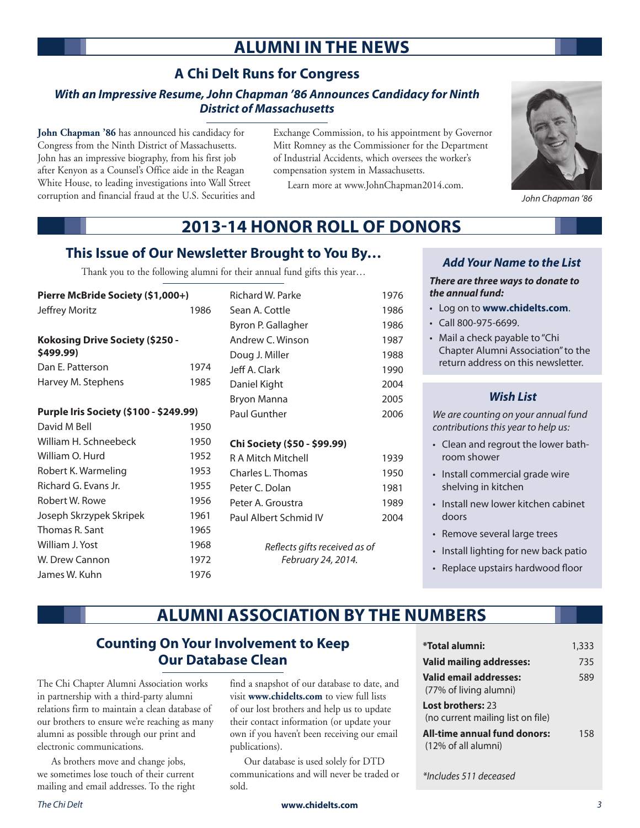# **Alumni in the News**

## **A Chi Delt Runs for Congress**

#### *With an Impressive Resume, John Chapman '86 Announces Candidacy for Ninth District of Massachusetts*

**John Chapman '86** has announced his candidacy for Congress from the Ninth District of Massachusetts. John has an impressive biography, from his first job after Kenyon as a Counsel's Office aide in the Reagan White House, to leading investigations into Wall Street corruption and financial fraud at the U.S. Securities and Exchange Commission, to his appointment by Governor Mitt Romney as the Commissioner for the Department of Industrial Accidents, which oversees the worker's compensation system in Massachusetts.

Learn more at www.JohnChapman2014.com.



*John Chapman '86*

# **2013-14 Honor Roll of Donors**

## **This Issue of Our Newsletter Brought to You By…**

Thank you to the following alumni for their annual fund gifts this year…

| Pierre McBride Society (\$1,000+)            |      |  |  |
|----------------------------------------------|------|--|--|
| Jeffrey Moritz                               | 1986 |  |  |
|                                              |      |  |  |
| Kokosing Drive Society (\$250 -<br>\$499.99) |      |  |  |
| Dan F. Patterson                             | 1974 |  |  |
| Harvey M. Stephens                           | 1985 |  |  |
|                                              |      |  |  |
| Purple Iris Society (\$100 - \$249.99)       |      |  |  |
| David M Bell                                 | 1950 |  |  |
| William H Schneebeck                         | 1950 |  |  |
| William O. Hurd                              | 1952 |  |  |
| Robert K. Warmeling                          | 1953 |  |  |
| Richard G. Evans Jr.                         | 1955 |  |  |
| Robert W. Rowe                               | 1956 |  |  |
| Joseph Skrzypek Skripek                      | 1961 |  |  |
| Thomas R. Sant                               | 1965 |  |  |
| William J. Yost                              | 1968 |  |  |
| W. Drew Cannon                               | 1972 |  |  |
| James W. Kuhn                                | 1976 |  |  |

| Richard W. Parke              | 1976 |
|-------------------------------|------|
| Sean A. Cottle                | 1986 |
| Byron P. Gallagher            | 1986 |
| Andrew C. Winson              | 1987 |
| Doug J. Miller                | 1988 |
| Jeff A. Clark                 | 1990 |
| Daniel Kight                  | 2004 |
| Bryon Manna                   | 2005 |
| Paul Gunther                  | 2006 |
|                               |      |
| Chi Society (\$50 - \$99.99)  |      |
| R A Mitch Mitchell            | 1939 |
| Charles L. Thomas             | 1950 |
| Peter C. Dolan                | 1981 |
| Peter A. Groustra             | 1989 |
| Paul Albert Schmid IV         | 2004 |
|                               |      |
| Reflects gifts received as of |      |
| February 24, 2014.            |      |
|                               |      |

#### *Add Your Name to the List*

*There are three ways to donate to the annual fund:*

- • Log on to **www.chidelts.com**.
- • Call 800-975-6699.
- • Mail a check payable to "Chi Chapter Alumni Association" to the return address on this newsletter.

#### *Wish List*

*We are counting on your annual fund contributions this year to help us:*

- • Clean and regrout the lower bathroom shower
- Install commercial grade wire shelving in kitchen
- Install new lower kitchen cabinet doors
- • Remove several large trees
- • Install lighting for new back patio
- • Replace upstairs hardwood floor

# **Alumni Association By the Numbers**

## **Counting On Your Involvement to Keep Our Database Clean**

The Chi Chapter Alumni Association works in partnership with a third-party alumni relations firm to maintain a clean database of our brothers to ensure we're reaching as many alumni as possible through our print and electronic communications.

As brothers move and change jobs, we sometimes lose touch of their current mailing and email addresses. To the right

find a snapshot of our database to date, and visit **www.chidelts.com** to view full lists of our lost brothers and help us to update their contact information (or update your own if you haven't been receiving our email publications).

Our database is used solely for DTD communications and will never be traded or sold.

| *Total alumni:                                                | 1,333 |
|---------------------------------------------------------------|-------|
| <b>Valid mailing addresses:</b>                               | 735   |
| Valid email addresses:<br>(77% of living alumni)              | 589   |
| <b>Lost brothers: 23</b><br>(no current mailing list on file) |       |
| All-time annual fund donors:<br>(12% of all alumni)           | 158   |

*\*Includes 511 deceased*

#### *The Chi Delt* **www.chidelts.com** *3*